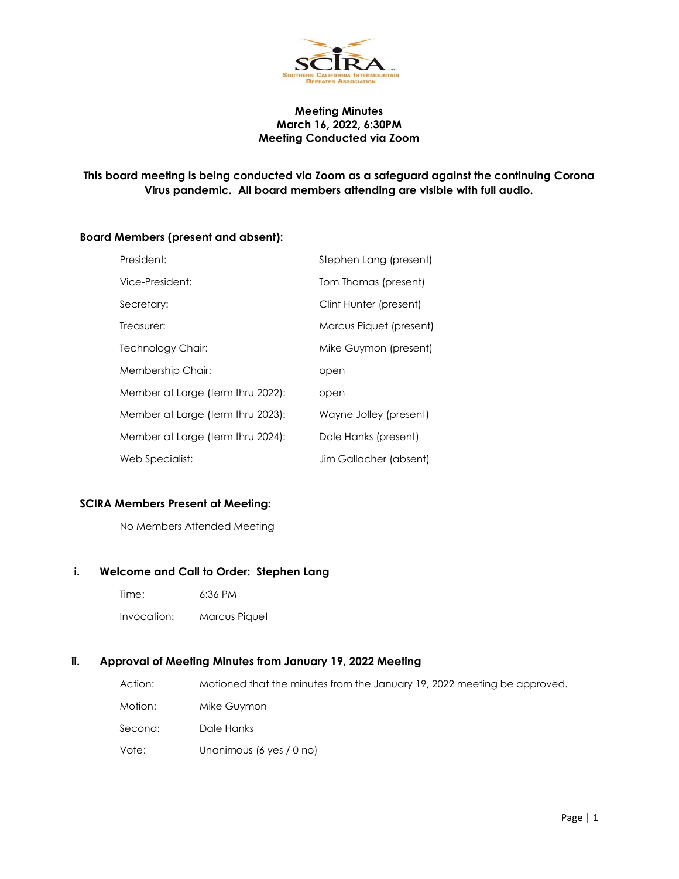

## Meeting Minutes March 16, 2022, 6:30PM Meeting Conducted via Zoom

# This board meeting is being conducted via Zoom as a safeguard against the continuing Corona Virus pandemic. All board members attending are visible with full audio.

## Board Members (present and absent):

| President:                        | Stephen Lang (present)  |
|-----------------------------------|-------------------------|
| Vice-President:                   | Tom Thomas (present)    |
| Secretary:                        | Clint Hunter (present)  |
| Treasurer:                        | Marcus Piquet (present) |
| Technology Chair:                 | Mike Guymon (present)   |
| Membership Chair:                 | open                    |
| Member at Large (term thru 2022): | open                    |
| Member at Large (term thru 2023): | Wayne Jolley (present)  |
| Member at Large (term thru 2024): | Dale Hanks (present)    |
| Web Specialist:                   | Jim Gallacher (absent)  |

# SCIRA Members Present at Meeting:

No Members Attended Meeting

#### i. Welcome and Call to Order: Stephen Lang

- Time: 6:36 PM
- Invocation: Marcus Piquet

#### ii. Approval of Meeting Minutes from January 19, 2022 Meeting

| Action: | Motioned that the minutes from the January 19, 2022 meeting be approved. |
|---------|--------------------------------------------------------------------------|
| Motion: | Mike Guymon                                                              |
| Second: | Dale Hanks                                                               |
| Vote:   | Unanimous (6 yes / 0 no)                                                 |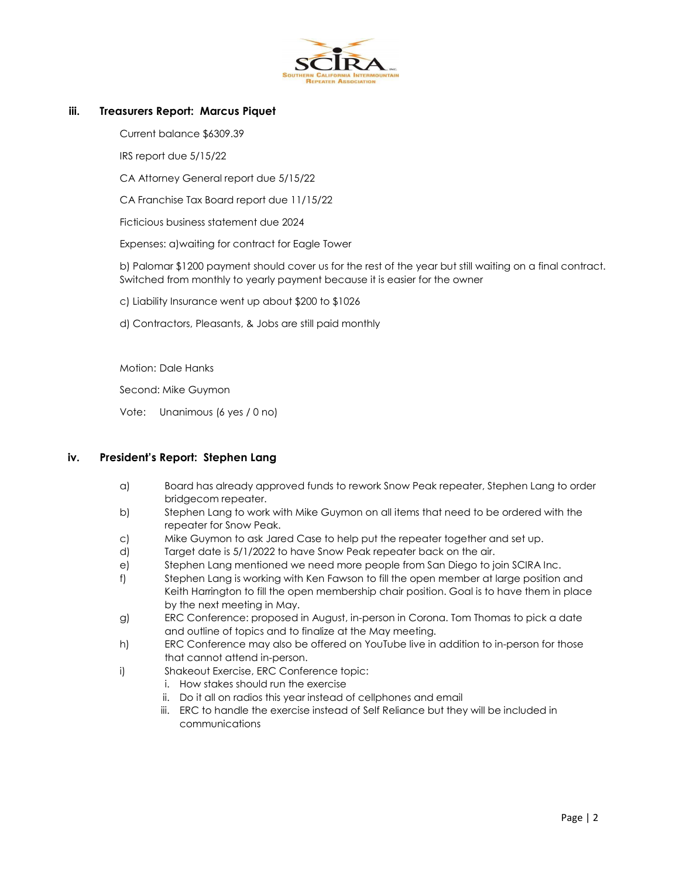

#### iii. Treasurers Report: Marcus Piquet

Current balance \$6309.39

IRS report due 5/15/22

CA Attorney General report due 5/15/22

CA Franchise Tax Board report due 11/15/22

Ficticious business statement due 2024

Expenses: a)waiting for contract for Eagle Tower

b) Palomar \$1200 payment should cover us for the rest of the year but still waiting on a final contract. Switched from monthly to yearly payment because it is easier for the owner

c) Liability Insurance went up about \$200 to \$1026

d) Contractors, Pleasants, & Jobs are still paid monthly

Motion: Dale Hanks

Second: Mike Guymon

Vote: Unanimous (6 yes / 0 no)

#### iv. President's Report: Stephen Lang

- a) Board has already approved funds to rework Snow Peak repeater, Stephen Lang to order bridgecom repeater.
- b) Stephen Lang to work with Mike Guymon on all items that need to be ordered with the repeater for Snow Peak.
- c) Mike Guymon to ask Jared Case to help put the repeater together and set up.
- d) Target date is 5/1/2022 to have Snow Peak repeater back on the air.
- e) Stephen Lang mentioned we need more people from San Diego to join SCIRA Inc.
- f) Stephen Lang is working with Ken Fawson to fill the open member at large position and Keith Harrington to fill the open membership chair position. Goal is to have them in place by the next meeting in May.
- g) ERC Conference: proposed in August, in-person in Corona. Tom Thomas to pick a date and outline of topics and to finalize at the May meeting.
- h) ERC Conference may also be offered on YouTube live in addition to in-person for those that cannot attend in-person.
- i) Shakeout Exercise, ERC Conference topic:
	- i. How stakes should run the exercise
	- ii. Do it all on radios this year instead of cellphones and email
	- iii. ERC to handle the exercise instead of Self Reliance but they will be included in communications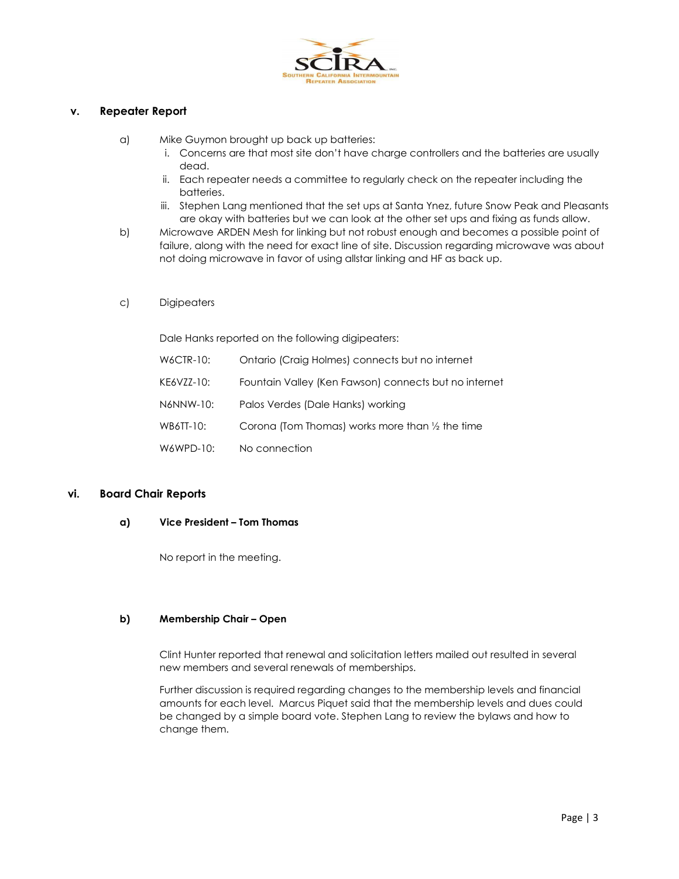

## v. Repeater Report

a) Mike Guymon brought up back up batteries:

- i. Concerns are that most site don't have charge controllers and the batteries are usually dead.
- ii. Each repeater needs a committee to regularly check on the repeater including the batteries.
- iii. Stephen Lang mentioned that the set ups at Santa Ynez, future Snow Peak and Pleasants are okay with batteries but we can look at the other set ups and fixing as funds allow.
- b) Microwave ARDEN Mesh for linking but not robust enough and becomes a possible point of failure, along with the need for exact line of site. Discussion regarding microwave was about not doing microwave in favor of using allstar linking and HF as back up.
- c) Digipeaters

Dale Hanks reported on the following digipeaters:

| W6CTR-10:  | Ontario (Craig Holmes) connects but no internet       |
|------------|-------------------------------------------------------|
| KE6VZZ-10: | Fountain Valley (Ken Fawson) connects but no internet |
| N6NNW-10:  | Palos Verdes (Dale Hanks) working                     |
| WB6TT-10:  | Corona (Tom Thomas) works more than 1/2 the time      |
| W6WPD-10:  | No connection                                         |

## vi. Board Chair Reports

#### a) Vice President – Tom Thomas

No report in the meeting.

## b) Membership Chair – Open

Clint Hunter reported that renewal and solicitation letters mailed out resulted in several new members and several renewals of memberships.

Further discussion is required regarding changes to the membership levels and financial amounts for each level. Marcus Piquet said that the membership levels and dues could be changed by a simple board vote. Stephen Lang to review the bylaws and how to change them.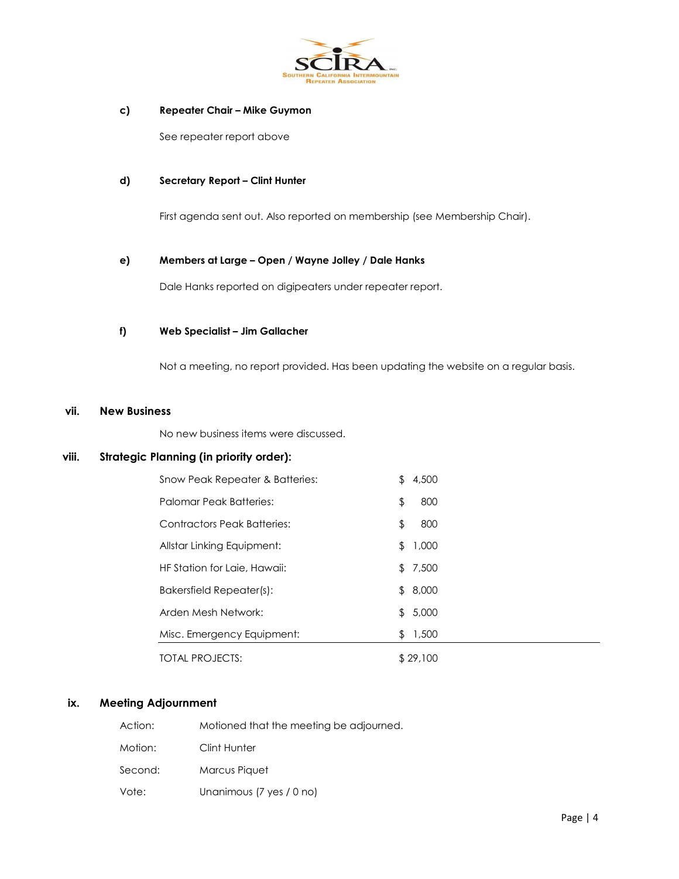

#### c) Repeater Chair – Mike Guymon

See repeater report above

#### d) Secretary Report – Clint Hunter

First agenda sent out. Also reported on membership (see Membership Chair).

#### e) Members at Large – Open / Wayne Jolley / Dale Hanks

Dale Hanks reported on digipeaters under repeater report.

#### f) Web Specialist – Jim Gallacher

Not a meeting, no report provided. Has been updating the website on a regular basis.

#### vii. New Business

No new business items were discussed.

## viii. Strategic Planning (in priority order):

| Snow Peak Repeater & Batteries: | £. | 4,500    |  |
|---------------------------------|----|----------|--|
| Palomar Peak Batteries:         | \$ | 800      |  |
| Contractors Peak Batteries:     | \$ | 800      |  |
| Allstar Linking Equipment:      | \$ | 1,000    |  |
| HF Station for Laie, Hawaii:    | \$ | 7,500    |  |
| Bakersfield Repeater(s):        | \$ | 8,000    |  |
| Arden Mesh Network:             | \$ | 5,000    |  |
| Misc. Emergency Equipment:      | \$ | 1,500    |  |
| TOTAL PROJECTS:                 |    | \$29,100 |  |

## ix. Meeting Adjournment

| Action: | Motioned that the meeting be adjourned. |
|---------|-----------------------------------------|
| Motion: | Clint Hunter                            |
| Second: | Marcus Piquet                           |
| Vote:   | Unanimous (7 yes / 0 no)                |